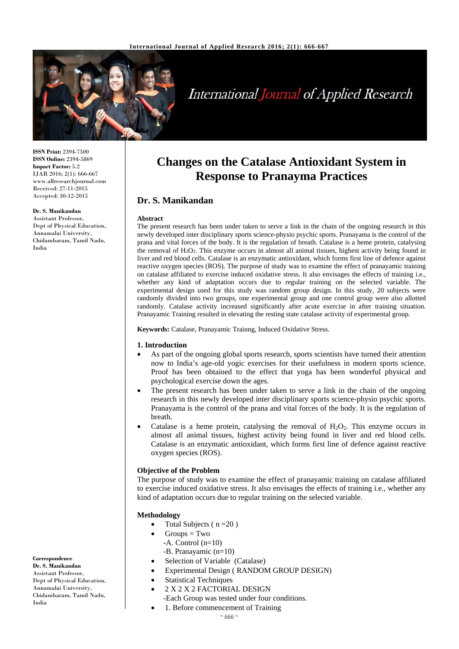

# **International Journal of Applied Research**

**ISSN Print:** 2394-7500 **ISSN Online:** 2394-5869 **Impact Factor:** 5.2 IJAR 2016; 2(1): 666-667 www.allresearchjournal.com Received: 27-11-2015 Accepted: 30-12-2015

#### **Dr. S. Manikandan**

Assistant Professor, Dept of Physical Education, Annamalai University, Chidambaram, Tamil Nadu, India

**Changes on the Catalase Antioxidant System in Response to Pranayma Practices**

# **Dr. S. Manikandan**

#### **Abstract**

The present research has been under taken to serve a link in the chain of the ongoing research in this newly developed inter disciplinary sports science-physio psychic sports. Pranayama is the control of the prana and vital forces of the body. It is the regulation of breath. Catalase is a heme protein, catalysing the removal of H2O2. This enzyme occurs in almost all animal tissues, highest activity being found in liver and red blood cells. Catalase is an enzymatic antioxidant, which forms first line of defence against reactive oxygen species (ROS). The purpose of study was to examine the effect of pranayamic training on catalase affiliated to exercise induced oxidative stress. It also envisages the effects of training i.e., whether any kind of adaptation occurs due to regular training on the selected variable. The experimental design used for this study was random group design. In this study, 20 subjects were randomly divided into two groups, one experimental group and one control group were also allotted randomly. Catalase activity increased significantly after acute exercise in after training situation. Pranayamic Training resulted in elevating the resting state catalase activity of experimental group.

**Keywords:** Catalase, Pranayamic Trainng, Induced Oxidative Stress.

#### **1. Introduction**

- As part of the ongoing global sports research, sports scientists have turned their attention now to India's age-old yogic exercises for their usefulness in modern sports science. Proof has been obtained to the effect that yoga has been wonderful physical and psychological exercise down the ages.
- The present research has been under taken to serve a link in the chain of the ongoing research in this newly developed inter disciplinary sports science-physio psychic sports. Pranayama is the control of the prana and vital forces of the body. It is the regulation of breath.
- Catalase is a heme protein, catalysing the removal of  $H_2O_2$ . This enzyme occurs in almost all animal tissues, highest activity being found in liver and red blood cells. Catalase is an enzymatic antioxidant, which forms first line of defence against reactive oxygen species (ROS).

#### **Objective of the Problem**

The purpose of study was to examine the effect of pranayamic training on catalase affiliated to exercise induced oxidative stress. It also envisages the effects of training i.e., whether any kind of adaptation occurs due to regular training on the selected variable.

#### **Methodology**

- Total Subjects ( $n = 20$ )
- $Groups = Two$
- -A. Control (n=10)
- -B. Pranayamic (n=10)
- Selection of Variable (Catalase)
- Experimental Design ( RANDOM GROUP DESIGN)
- **Statistical Techniques**
- 2 X 2 X 2 FACTORIAL DESIGN
- -Each Group was tested under four conditions.
	- 1. Before commencement of Training

**Correspondence**

**Dr. S. Manikandan** Assistant Professor, Dept of Physical Education Annamalai University, Chidambaram, Tamil Nadu, India